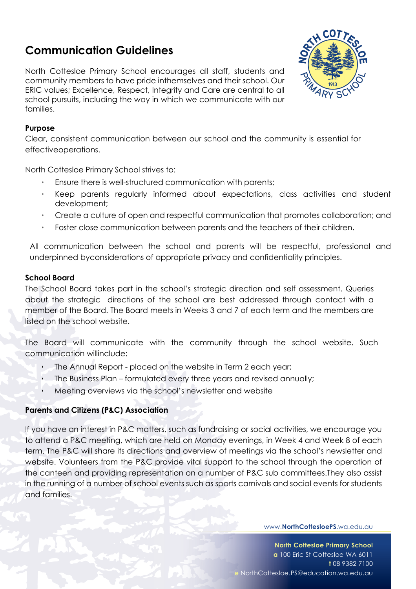# **Communication Guidelines**

North Cottesloe Primary School encourages all staff, students and community members to have pride inthemselves and their school. Our ERIC values; Excellence, Respect, Integrity and Care are central to all school pursuits, including the way in which we communicate with our families.



## **Purpose**

Clear, consistent communication between our school and the community is essential for effectiveoperations.

North Cottesloe Primary School strives to:

- Ensure there is well-structured communication with parents;
- ! Keep parents regularly informed about expectations, class activities and student development;
- ! Create a culture of open and respectful communication that promotes collaboration; and
- Foster close communication between parents and the teachers of their children.

All communication between the school and parents will be respectful, professional and underpinned byconsiderations of appropriate privacy and confidentiality principles.

#### **School Board**

The School Board takes part in the school's strategic direction and self assessment. Queries about the strategic directions of the school are best addressed through contact with a member of the Board. The Board meets in Weeks 3 and 7 of each term and the members are listed on the school website.

The Board will communicate with the community through the school website. Such communication willinclude:

- ! The Annual Report placed on the website in Term 2 each year;
- ! The Business Plan formulated every three years and revised annually;

Meeting overviews via the school's newsletter and website

#### **Parents and Citizens (P&C) Association**

If you have an interest in P&C matters, such as fundraising or social activities, we encourage you to attend a P&C meeting, which are held on Monday evenings, in Week 4 and Week 8 of each term. The P&C will share its directions and overview of meetings via the school's newsletter and website. Volunteers from the P&C provide vital support to the school through the operation of the canteen and providing representation on a number of P&C sub committees.They also assist in the running of a number of school events such as sports carnivals and social events for students and families.

#### www.**NorthCottesloePS**.wa.edu.au.

**North Cottesloe Primary School a** 100 Eric St Cottesloe WA 6011 **t** 08 9382 7100 **e** NorthCottesloe.PS@education.wa.edu.au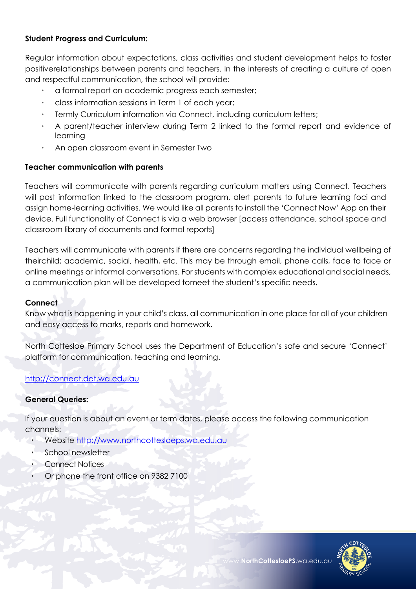# **Student Progress and Curriculum:**

Regular information about expectations, class activities and student development helps to foster positiverelationships between parents and teachers. In the interests of creating a culture of open and respectful communication, the school will provide:

- a formal report on academic progress each semester;
- ! class information sessions in Term 1 of each year;
- Termly Curriculum information via Connect, including curriculum letters;
- ! A parent/teacher interview during Term 2 linked to the formal report and evidence of learning
- ! An open classroom event in Semester Two

# **Teacher communication with parents**

Teachers will communicate with parents regarding curriculum matters using Connect. Teachers will post information linked to the classroom program, alert parents to future learning foci and assign home-learning activities. We would like all parents to install the 'Connect Now' App on their device. Full functionality of Connect is via a web browser [access attendance, school space and classroom library of documents and formal reports]

Teachers will communicate with parents if there are concerns regarding the individual wellbeing of theirchild; academic, social, health, etc. This may be through email, phone calls, face to face or online meetings or informal conversations. For students with complex educational and social needs, a communication plan will be developed tomeet the student's specific needs.

# **Connect**

Know what is happening in your child's class, all communication in one place for all of your children and easy access to marks, reports and homework.

North Cottesloe Primary School uses the Department of Education's safe and secure 'Connect' platform for communication, teaching and learning.

# http://connect.det.wa.edu.au

# **General Queries:**

If your question is about an event or term dates, please access the following communication channels:

- Website http://www.northcottesloeps.wa.edu.au
- School newsletter
- Connect Notices
- ! Or phone the front office on 9382 7100